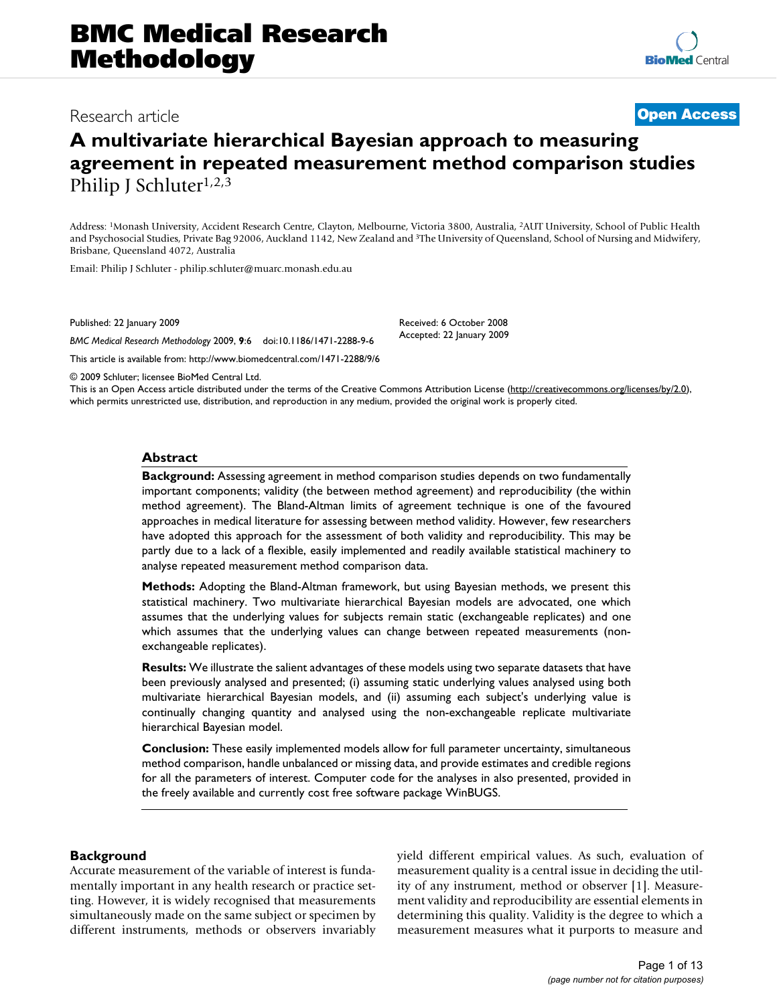# Research article **[Open Access](http://www.biomedcentral.com/info/about/charter/)**

# **A multivariate hierarchical Bayesian approach to measuring agreement in repeated measurement method comparison studies** Philip J Schluter<sup>1,2,3</sup>

Address: 1Monash University, Accident Research Centre, Clayton, Melbourne, Victoria 3800, Australia, 2AUT University, School of Public Health and Psychosocial Studies, Private Bag 92006, Auckland 1142, New Zealand and 3The University of Queensland, School of Nursing and Midwifery, Brisbane, Queensland 4072, Australia

Email: Philip J Schluter - philip.schluter@muarc.monash.edu.au

Published: 22 January 2009

*BMC Medical Research Methodology* 2009, **9**:6 doi:10.1186/1471-2288-9-6

[This article is available from: http://www.biomedcentral.com/1471-2288/9/6](http://www.biomedcentral.com/1471-2288/9/6)

Received: 6 October 2008 Accepted: 22 January 2009

© 2009 Schluter; licensee BioMed Central Ltd.

This is an Open Access article distributed under the terms of the Creative Commons Attribution License [\(http://creativecommons.org/licenses/by/2.0\)](http://creativecommons.org/licenses/by/2.0), which permits unrestricted use, distribution, and reproduction in any medium, provided the original work is properly cited.

#### **Abstract**

**Background:** Assessing agreement in method comparison studies depends on two fundamentally important components; validity (the between method agreement) and reproducibility (the within method agreement). The Bland-Altman limits of agreement technique is one of the favoured approaches in medical literature for assessing between method validity. However, few researchers have adopted this approach for the assessment of both validity and reproducibility. This may be partly due to a lack of a flexible, easily implemented and readily available statistical machinery to analyse repeated measurement method comparison data.

**Methods:** Adopting the Bland-Altman framework, but using Bayesian methods, we present this statistical machinery. Two multivariate hierarchical Bayesian models are advocated, one which assumes that the underlying values for subjects remain static (exchangeable replicates) and one which assumes that the underlying values can change between repeated measurements (nonexchangeable replicates).

**Results:** We illustrate the salient advantages of these models using two separate datasets that have been previously analysed and presented; (i) assuming static underlying values analysed using both multivariate hierarchical Bayesian models, and (ii) assuming each subject's underlying value is continually changing quantity and analysed using the non-exchangeable replicate multivariate hierarchical Bayesian model.

**Conclusion:** These easily implemented models allow for full parameter uncertainty, simultaneous method comparison, handle unbalanced or missing data, and provide estimates and credible regions for all the parameters of interest. Computer code for the analyses in also presented, provided in the freely available and currently cost free software package WinBUGS.

#### **Background**

Accurate measurement of the variable of interest is fundamentally important in any health research or practice setting. However, it is widely recognised that measurements simultaneously made on the same subject or specimen by different instruments, methods or observers invariably yield different empirical values. As such, evaluation of measurement quality is a central issue in deciding the utility of any instrument, method or observer [1]. Measurement validity and reproducibility are essential elements in determining this quality. Validity is the degree to which a measurement measures what it purports to measure and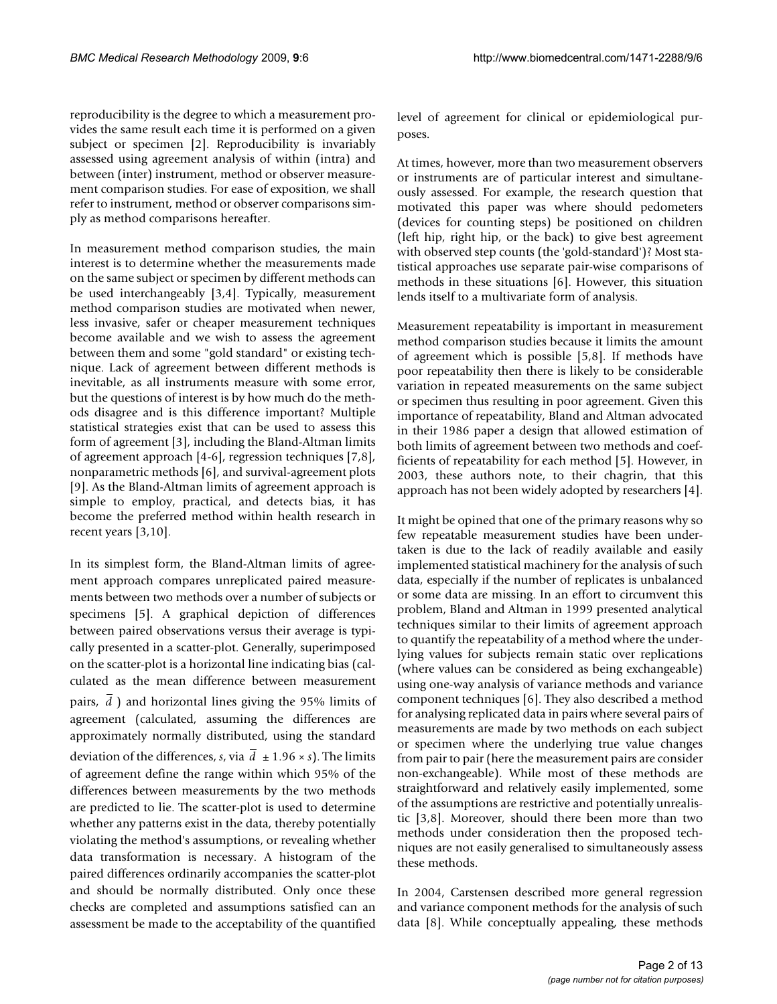reproducibility is the degree to which a measurement provides the same result each time it is performed on a given subject or specimen [2]. Reproducibility is invariably assessed using agreement analysis of within (intra) and between (inter) instrument, method or observer measurement comparison studies. For ease of exposition, we shall refer to instrument, method or observer comparisons simply as method comparisons hereafter.

In measurement method comparison studies, the main interest is to determine whether the measurements made on the same subject or specimen by different methods can be used interchangeably [3,4]. Typically, measurement method comparison studies are motivated when newer, less invasive, safer or cheaper measurement techniques become available and we wish to assess the agreement between them and some "gold standard" or existing technique. Lack of agreement between different methods is inevitable, as all instruments measure with some error, but the questions of interest is by how much do the methods disagree and is this difference important? Multiple statistical strategies exist that can be used to assess this form of agreement [3], including the Bland-Altman limits of agreement approach [4-6], regression techniques [7,8], nonparametric methods [6], and survival-agreement plots [9]. As the Bland-Altman limits of agreement approach is simple to employ, practical, and detects bias, it has become the preferred method within health research in recent years [3,10].

In its simplest form, the Bland-Altman limits of agreement approach compares unreplicated paired measurements between two methods over a number of subjects or specimens [5]. A graphical depiction of differences between paired observations versus their average is typically presented in a scatter-plot. Generally, superimposed on the scatter-plot is a horizontal line indicating bias (calculated as the mean difference between measurement pairs, d) and horizontal lines giving the 95% limits of agreement (calculated, assuming the differences are approximately normally distributed, using the standard deviation of the differences, *s*, via  $d \pm 1.96 \times s$ ). The limits of agreement define the range within which 95% of the differences between measurements by the two methods are predicted to lie. The scatter-plot is used to determine whether any patterns exist in the data, thereby potentially violating the method's assumptions, or revealing whether data transformation is necessary. A histogram of the paired differences ordinarily accompanies the scatter-plot and should be normally distributed. Only once these checks are completed and assumptions satisfied can an assessment be made to the acceptability of the quantified level of agreement for clinical or epidemiological purposes.

At times, however, more than two measurement observers or instruments are of particular interest and simultaneously assessed. For example, the research question that motivated this paper was where should pedometers (devices for counting steps) be positioned on children (left hip, right hip, or the back) to give best agreement with observed step counts (the 'gold-standard')? Most statistical approaches use separate pair-wise comparisons of methods in these situations [6]. However, this situation lends itself to a multivariate form of analysis.

Measurement repeatability is important in measurement method comparison studies because it limits the amount of agreement which is possible [5,8]. If methods have poor repeatability then there is likely to be considerable variation in repeated measurements on the same subject or specimen thus resulting in poor agreement. Given this importance of repeatability, Bland and Altman advocated in their 1986 paper a design that allowed estimation of both limits of agreement between two methods and coefficients of repeatability for each method [5]. However, in 2003, these authors note, to their chagrin, that this approach has not been widely adopted by researchers [4].

It might be opined that one of the primary reasons why so few repeatable measurement studies have been undertaken is due to the lack of readily available and easily implemented statistical machinery for the analysis of such data, especially if the number of replicates is unbalanced or some data are missing. In an effort to circumvent this problem, Bland and Altman in 1999 presented analytical techniques similar to their limits of agreement approach to quantify the repeatability of a method where the underlying values for subjects remain static over replications (where values can be considered as being exchangeable) using one-way analysis of variance methods and variance component techniques [6]. They also described a method for analysing replicated data in pairs where several pairs of measurements are made by two methods on each subject or specimen where the underlying true value changes from pair to pair (here the measurement pairs are consider non-exchangeable). While most of these methods are straightforward and relatively easily implemented, some of the assumptions are restrictive and potentially unrealistic [3,8]. Moreover, should there been more than two methods under consideration then the proposed techniques are not easily generalised to simultaneously assess these methods.

In 2004, Carstensen described more general regression and variance component methods for the analysis of such data [8]. While conceptually appealing, these methods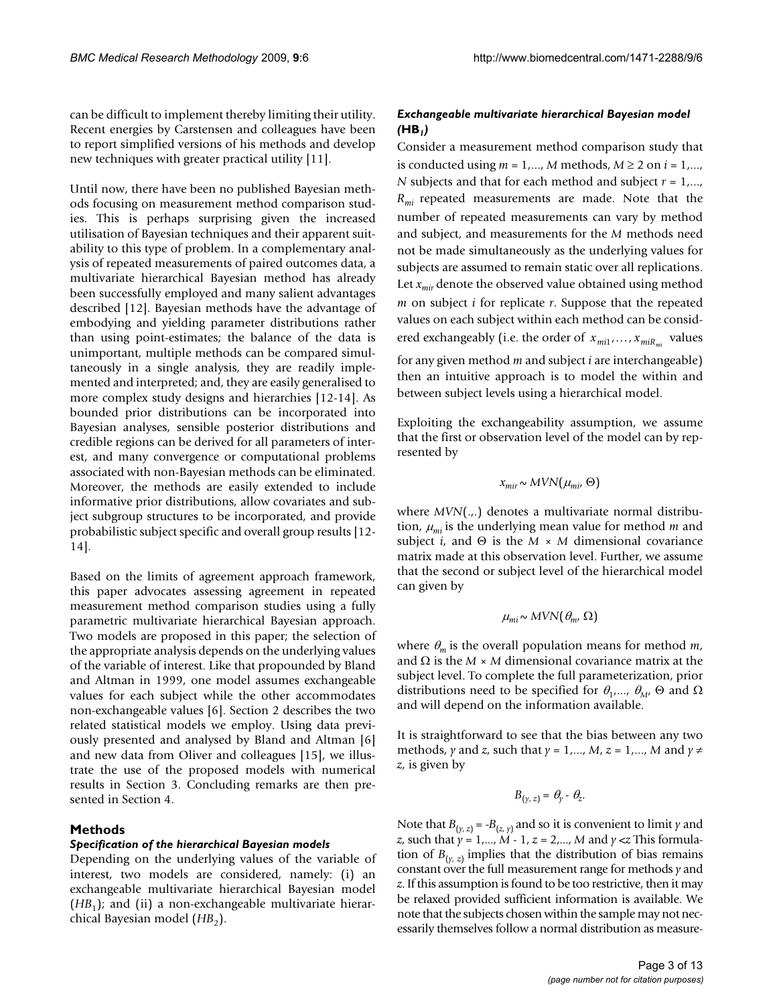can be difficult to implement thereby limiting their utility. Recent energies by Carstensen and colleagues have been to report simplified versions of his methods and develop new techniques with greater practical utility [11].

Until now, there have been no published Bayesian methods focusing on measurement method comparison studies. This is perhaps surprising given the increased utilisation of Bayesian techniques and their apparent suitability to this type of problem. In a complementary analysis of repeated measurements of paired outcomes data, a multivariate hierarchical Bayesian method has already been successfully employed and many salient advantages described [12]. Bayesian methods have the advantage of embodying and yielding parameter distributions rather than using point-estimates; the balance of the data is unimportant, multiple methods can be compared simultaneously in a single analysis, they are readily implemented and interpreted; and, they are easily generalised to more complex study designs and hierarchies [12-14]. As bounded prior distributions can be incorporated into Bayesian analyses, sensible posterior distributions and credible regions can be derived for all parameters of interest, and many convergence or computational problems associated with non-Bayesian methods can be eliminated. Moreover, the methods are easily extended to include informative prior distributions, allow covariates and subject subgroup structures to be incorporated, and provide probabilistic subject specific and overall group results [12- 14].

Based on the limits of agreement approach framework, this paper advocates assessing agreement in repeated measurement method comparison studies using a fully parametric multivariate hierarchical Bayesian approach. Two models are proposed in this paper; the selection of the appropriate analysis depends on the underlying values of the variable of interest. Like that propounded by Bland and Altman in 1999, one model assumes exchangeable values for each subject while the other accommodates non-exchangeable values [6]. Section 2 describes the two related statistical models we employ. Using data previously presented and analysed by Bland and Altman [6] and new data from Oliver and colleagues [15], we illustrate the use of the proposed models with numerical results in Section 3. Concluding remarks are then presented in Section 4.

#### **Methods**

#### *Specification of the hierarchical Bayesian models*

Depending on the underlying values of the variable of interest, two models are considered, namely: (i) an exchangeable multivariate hierarchical Bayesian model  $(HB<sub>1</sub>)$ ; and (ii) a non-exchangeable multivariate hierarchical Bayesian model (*HB*<sub>2</sub>).

# *Exchangeable multivariate hierarchical Bayesian model (***HB***1)*

Consider a measurement method comparison study that is conducted using  $m = 1,..., M$  methods,  $M \ge 2$  on  $i = 1,...,$ *N* subjects and that for each method and subject *r* = 1,..., *Rmi* repeated measurements are made. Note that the number of repeated measurements can vary by method and subject, and measurements for the *M* methods need not be made simultaneously as the underlying values for subjects are assumed to remain static over all replications. Let  $x_{\text{mir}}$  denote the observed value obtained using method *m* on subject *i* for replicate *r*. Suppose that the repeated values on each subject within each method can be considered exchangeably (i.e. the order of  $x_{mi1}, \ldots, x_{miR_{mi}}$  values

for any given method *m* and subject *i* are interchangeable) then an intuitive approach is to model the within and between subject levels using a hierarchical model.

Exploiting the exchangeability assumption, we assume that the first or observation level of the model can by represented by

$$
x_{mir} \sim MVN(\mu_{mi}, \Theta)
$$

where  $MVN(.,.)$  denotes a multivariate normal distribution,  $\mu_{mi}$  is the underlying mean value for method *m* and subject *i*, and  $\Theta$  is the  $M \times M$  dimensional covariance matrix made at this observation level. Further, we assume that the second or subject level of the hierarchical model can given by

$$
\mu_{mi}\!\sim MVN\big(\,\theta_{m},\,\Omega\big)
$$

where  $\theta_m$  is the overall population means for method *m*, and Ω is the *M* × *M* dimensional covariance matrix at the subject level. To complete the full parameterization, prior distributions need to be specified for  $\theta_1$ ,...,  $\theta_M$ ,  $\Theta$  and  $\Omega$ and will depend on the information available.

It is straightforward to see that the bias between any two methods, *y* and *z*, such that  $y = 1,..., M$ ,  $z = 1,..., M$  and  $y \neq$ *z*, is given by

$$
B_{(\gamma, z)} = \theta_{\gamma} - \theta_{z}.
$$

Note that  $B_{(y, z)} = -B_{(z, y)}$  and so it is convenient to limit *y* and *z*, such that *y* = 1,..., *M* - 1, *z* = 2,..., *M* and *y* <*z* This formulation of  $B_{(\gamma, z)}$  implies that the distribution of bias remains constant over the full measurement range for methods *y* and *z*. If this assumption is found to be too restrictive, then it may be relaxed provided sufficient information is available. We note that the subjects chosen within the sample may not necessarily themselves follow a normal distribution as measure-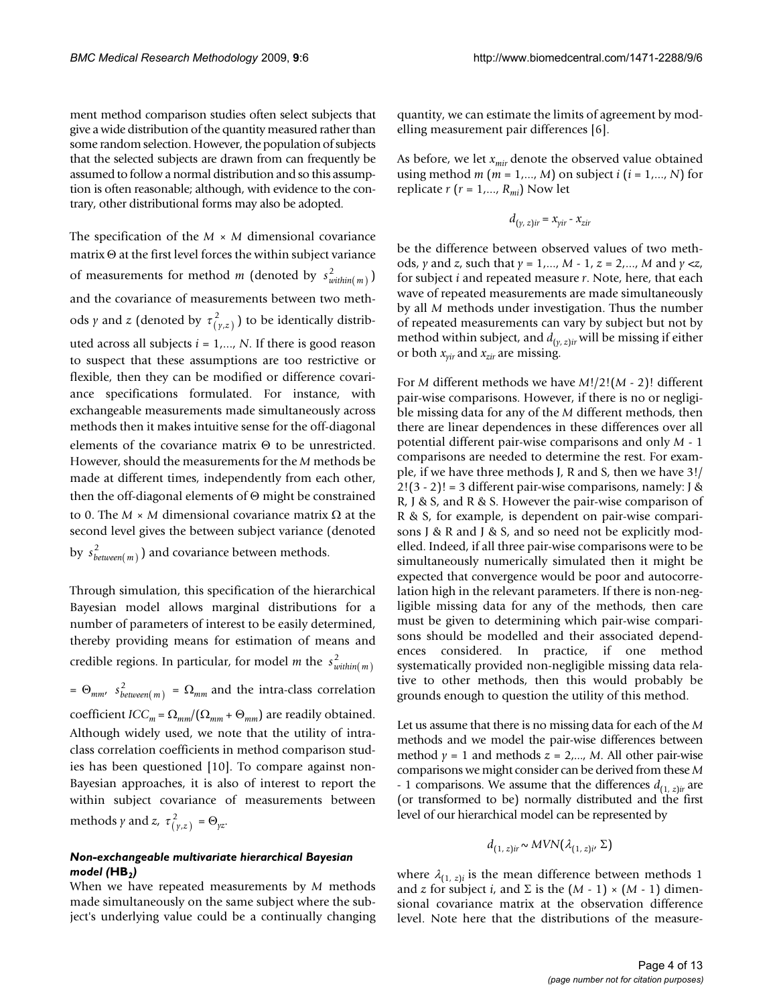ment method comparison studies often select subjects that give a wide distribution of the quantity measured rather than some random selection. However, the population of subjects that the selected subjects are drawn from can frequently be assumed to follow a normal distribution and so this assumption is often reasonable; although, with evidence to the contrary, other distributional forms may also be adopted.

The specification of the *M* × *M* dimensional covariance matrix Θ at the first level forces the within subject variance of measurements for method *m* (denoted by  $s_{within(m)}^2$ ) and the covariance of measurements between two methods *y* and *z* (denoted by  $\tau^2_{(\gamma,z)}$ ) to be identically distributed across all subjects  $i = 1,..., N$ . If there is good reason to suspect that these assumptions are too restrictive or flexible, then they can be modified or difference covariance specifications formulated. For instance, with exchangeable measurements made simultaneously across methods then it makes intuitive sense for the off-diagonal elements of the covariance matrix Θ to be unrestricted. However, should the measurements for the *M* methods be made at different times, independently from each other, then the off-diagonal elements of Θ might be constrained to 0. The  $M \times M$  dimensional covariance matrix  $\Omega$  at the second level gives the between subject variance (denoted by  $s_{between(m)}^2$  and covariance between methods.

Through simulation, this specification of the hierarchical Bayesian model allows marginal distributions for a number of parameters of interest to be easily determined, thereby providing means for estimation of means and credible regions. In particular, for model *m* the  $s_{within(m)}^2$  $= \Theta_{mm'} s_{between(m)}^2 = \Omega_{mm}$  and the intra-class correlation coefficient *ICC<sub>m</sub>* =  $\Omega_{mm}/(\Omega_{mm} + \Theta_{mm})$  are readily obtained. Although widely used, we note that the utility of intraclass correlation coefficients in method comparison studies has been questioned [10]. To compare against non-Bayesian approaches, it is also of interest to report the within subject covariance of measurements between methods  $\gamma$  and  $z$ ,  $\tau^2_{(\gamma,z)} = \Theta_{\gamma z}$ .

### *Non-exchangeable multivariate hierarchical Bayesian model (***HB***2)*

When we have repeated measurements by *M* methods made simultaneously on the same subject where the subject's underlying value could be a continually changing

quantity, we can estimate the limits of agreement by modelling measurement pair differences [6].

As before, we let  $x_{\text{mir}}$  denote the observed value obtained using method  $m$  ( $m = 1,..., M$ ) on subject  $i$  ( $i = 1,..., N$ ) for replicate  $r$  ( $r = 1,..., R_{mi}$ ) Now let

$$
d_{(\gamma, z)i r} = x_{\gamma i r} - x_{z i r}
$$

be the difference between observed values of two methods, *y* and *z*, such that  $y = 1,..., M - 1, z = 2,..., M$  and  $y \ll z$ , for subject *i* and repeated measure *r*. Note, here, that each wave of repeated measurements are made simultaneously by all *M* methods under investigation. Thus the number of repeated measurements can vary by subject but not by method within subject, and  $d_{(\gamma, z)ir}$  will be missing if either or both *xyir* and *xzir* are missing.

For *M* different methods we have *M*!/2!(*M* - 2)! different pair-wise comparisons. However, if there is no or negligible missing data for any of the *M* different methods, then there are linear dependences in these differences over all potential different pair-wise comparisons and only *M* - 1 comparisons are needed to determine the rest. For example, if we have three methods J, R and S, then we have 3!/  $2!(3 - 2)! = 3$  different pair-wise comparisons, namely: J & R, J & S, and R & S. However the pair-wise comparison of R & S, for example, is dependent on pair-wise comparisons J & R and J & S, and so need not be explicitly modelled. Indeed, if all three pair-wise comparisons were to be simultaneously numerically simulated then it might be expected that convergence would be poor and autocorrelation high in the relevant parameters. If there is non-negligible missing data for any of the methods, then care must be given to determining which pair-wise comparisons should be modelled and their associated dependences considered. In practice, if one method systematically provided non-negligible missing data relative to other methods, then this would probably be grounds enough to question the utility of this method.

Let us assume that there is no missing data for each of the *M* methods and we model the pair-wise differences between method  $y = 1$  and methods  $z = 2,..., M$ . All other pair-wise comparisons we might consider can be derived from these *M* - 1 comparisons. We assume that the differences  $d_{(1, z)ir}$  are (or transformed to be) normally distributed and the first level of our hierarchical model can be represented by

$$
d_{(1, z)i r} \sim MVN(\lambda_{(1, z)i}, \Sigma)
$$

where  $\lambda_{(1, z)i}$  is the mean difference between methods 1 and *z* for subject *i*, and  $\Sigma$  is the  $(M - 1) \times (M - 1)$  dimensional covariance matrix at the observation difference level. Note here that the distributions of the measure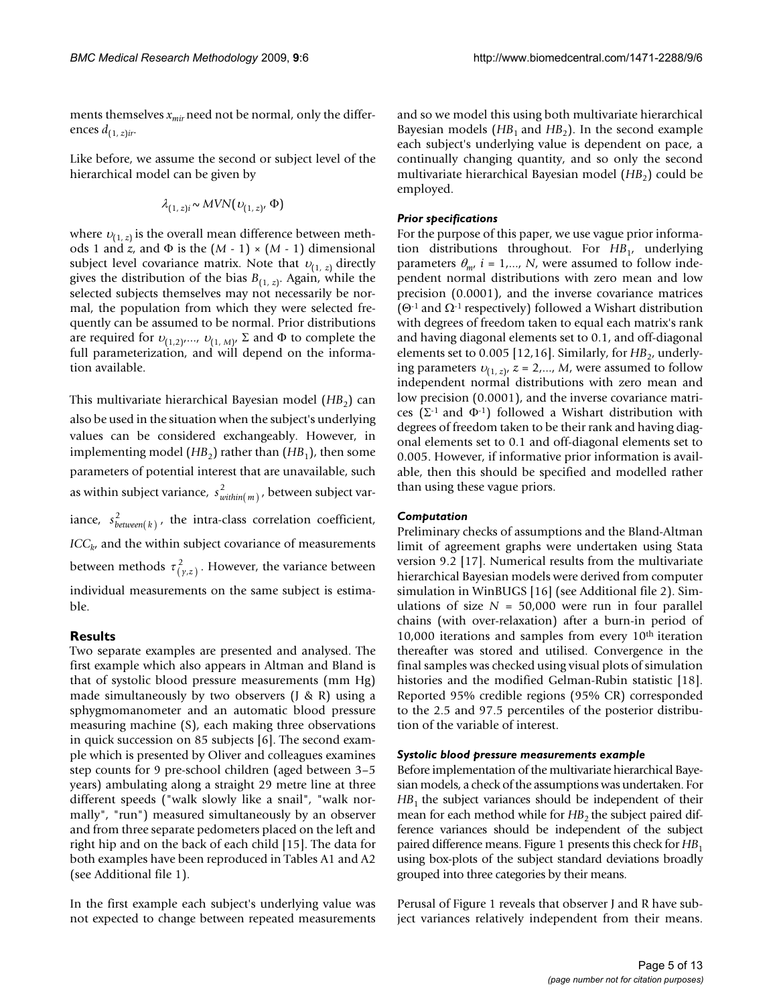ments themselves  $x_{\text{mir}}$  need not be normal, only the differences  $d_{(1, z)ir}$ .

Like before, we assume the second or subject level of the hierarchical model can be given by

$$
\lambda_{(1,z)i} \sim MVN(v_{(1,z)}, \Phi)
$$

where  $v_{(1, z)}$  is the overall mean difference between methods 1 and  $\zeta$ , and  $\Phi$  is the  $(M - 1) \times (M - 1)$  dimensional subject level covariance matrix. Note that  $v_{(1, z)}$  directly gives the distribution of the bias  $B_{(1, z)}$ . Again, while the selected subjects themselves may not necessarily be normal, the population from which they were selected frequently can be assumed to be normal. Prior distributions are required for  $v_{(1,2)}, \ldots, v_{(1,M)}$ ,  $\Sigma$  and  $\Phi$  to complete the full parameterization, and will depend on the information available.

This multivariate hierarchical Bayesian model (*HB*<sub>2</sub>) can also be used in the situation when the subject's underlying values can be considered exchangeably. However, in implementing model ( $HB<sub>2</sub>$ ) rather than ( $HB<sub>1</sub>$ ), then some parameters of potential interest that are unavailable, such as within subject variance,  $s^2_{within(m)}$ , between subject variance,  $s_{between(k)}^2$ , the intra-class correlation coefficient,  $ICC_{k}$ , and the within subject covariance of measurements between methods  $\tau^2_{(\gamma,z)}$ . However, the variance between individual measurements on the same subject is estimable.

#### **Results**

Two separate examples are presented and analysed. The first example which also appears in Altman and Bland is that of systolic blood pressure measurements (mm Hg) made simultaneously by two observers (J & R) using a sphygmomanometer and an automatic blood pressure measuring machine (S), each making three observations in quick succession on 85 subjects [6]. The second example which is presented by Oliver and colleagues examines step counts for 9 pre-school children (aged between 3–5 years) ambulating along a straight 29 metre line at three different speeds ("walk slowly like a snail", "walk normally", "run") measured simultaneously by an observer and from three separate pedometers placed on the left and right hip and on the back of each child [15]. The data for both examples have been reproduced in Tables A1 and A2 (see Additional file 1).

In the first example each subject's underlying value was not expected to change between repeated measurements

and so we model this using both multivariate hierarchical Bayesian models ( $HB_1$  and  $HB_2$ ). In the second example each subject's underlying value is dependent on pace, a continually changing quantity, and so only the second multivariate hierarchical Bayesian model (*HB*<sub>2</sub>) could be employed.

#### *Prior specifications*

For the purpose of this paper, we use vague prior information distributions throughout. For HB<sub>1</sub>, underlying parameters  $\theta_{m'}$  *i* = 1,..., *N*, were assumed to follow independent normal distributions with zero mean and low precision (0.0001), and the inverse covariance matrices ( $Θ$ <sup>-1</sup> and  $Ω$ <sup>-1</sup> respectively) followed a Wishart distribution with degrees of freedom taken to equal each matrix's rank and having diagonal elements set to 0.1, and off-diagonal elements set to  $0.005$  [12,16]. Similarly, for  $HB_2$ , underlying parameters  $v_{(1, z)}$ ,  $z = 2,..., M$ , were assumed to follow independent normal distributions with zero mean and low precision (0.0001), and the inverse covariance matrices ( $\Sigma$ <sup>-1</sup> and  $\Phi$ <sup>-1</sup>) followed a Wishart distribution with degrees of freedom taken to be their rank and having diagonal elements set to 0.1 and off-diagonal elements set to 0.005. However, if informative prior information is available, then this should be specified and modelled rather than using these vague priors.

#### *Computation*

Preliminary checks of assumptions and the Bland-Altman limit of agreement graphs were undertaken using Stata version 9.2 [17]. Numerical results from the multivariate hierarchical Bayesian models were derived from computer simulation in WinBUGS [16] (see Additional file 2). Simulations of size  $N = 50,000$  were run in four parallel chains (with over-relaxation) after a burn-in period of 10,000 iterations and samples from every 10th iteration thereafter was stored and utilised. Convergence in the final samples was checked using visual plots of simulation histories and the modified Gelman-Rubin statistic [18]. Reported 95% credible regions (95% CR) corresponded to the 2.5 and 97.5 percentiles of the posterior distribution of the variable of interest.

#### *Systolic blood pressure measurements example*

Before implementation of the multivariate hierarchical Bayesian models, a check of the assumptions was undertaken. For *HB*<sub>1</sub> the subject variances should be independent of their mean for each method while for *HB*<sub>2</sub> the subject paired difference variances should be independent of the subject paired difference means. Figure 1 presents this check for *HB*<sup>1</sup> using box-plots of the subject standard deviations broadly grouped into three categories by their means.

Perusal of Figure 1 reveals that observer J and R have subject variances relatively independent from their means.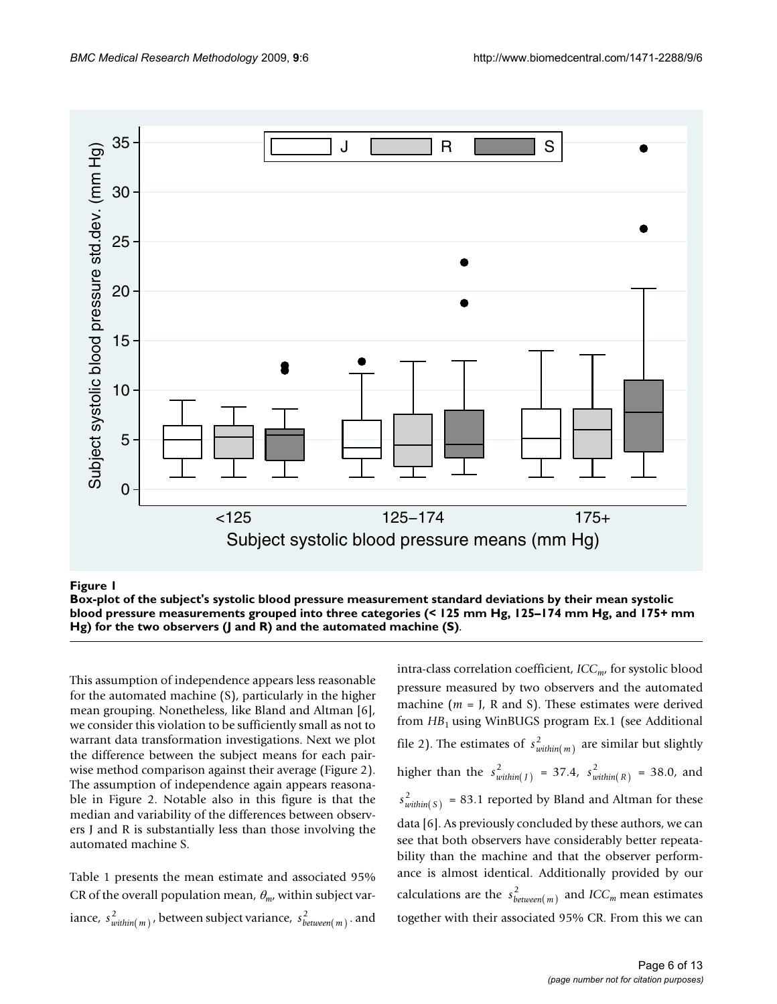

Box-plot of the subject's systolic blood pr urements grouped into three categories (< 125 mm Hg, 125–174 and the automated machine (S) **Figure 1** essure measurement standard deviations by mm Hg, and 175+ mm Hg) for the two observers (J and R) their mean systolic blood pressure meas-

**Box-plot of the subject's systolic blood pressure measurement standard deviations by their mean systolic blood pressure measurements grouped into three categories (< 125 mm Hg, 125–174 mm Hg, and 175+ mm Hg) for the two observers (J and R) and the automated machine (S)**.

This assumption of independence appears less reasonable for the automated machine (S), particularly in the higher mean grouping. Nonetheless, like Bland and Altman [6], we consider this violation to be sufficiently small as not to warrant data transformation investigations. Next we plot the difference between the subject means for each pairwise method comparison against their average (Figure 2). The assumption of independence again appears reasonable in Figure 2. Notable also in this figure is that the median and variability of the differences between observers J and R is substantially less than those involving the automated machine S.

Table 1 presents the mean estimate and associated 95% CR of the overall population mean,  $\theta_{m'}$  within subject variance,  $s_{within(m)}^2$ , between subject variance,  $s_{between(m)}^2$  and bogether with their associated 95% CR. From this we can

intra-class correlation coefficient, *ICC<sub>m</sub>*, for systolic blood pressure measured by two observers and the automated machine (*m* = J, R and S). These estimates were derived from  $HB_1$  using WinBUGS program Ex.1 (see Additional file 2). The estimates of  $s^2_{within(m)}$  are similar but slightly higher than the  $s_{within(J)}^2 = 37.4$ ,  $s_{within(R)}^2 = 38.0$ , and  $s_{within(S)}^2$  = 83.1 reported by Bland and Altman for these data [6]. As previously concluded by these authors, we can see that both observers have considerably better repeatability than the machine and that the observer performance is almost identical. Additionally provided by our calculations are the  $s_{between(m)}^2$  and *ICC<sub>m</sub>* mean estimates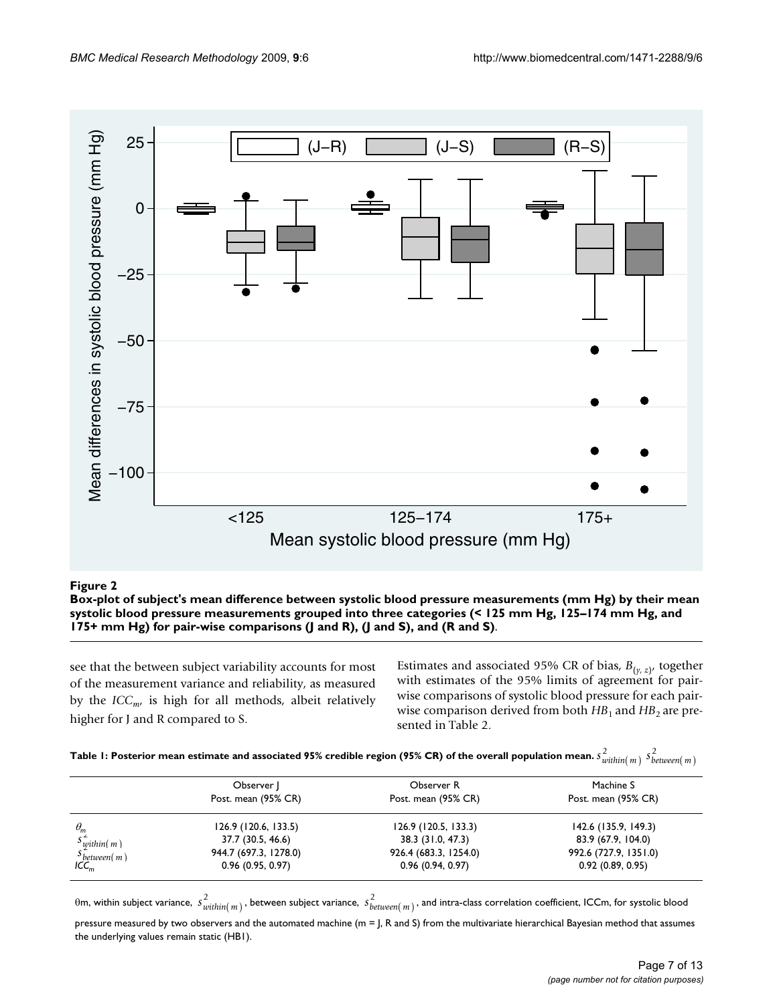

# Figure 2 and 2008 and 2008 and 2008 and 2008 and 2008 and 2008 and 2008 and 2008 and 2008 and 2008 and 2008 an

**Box-plot of subject's mean difference between systolic blood pressure measurements (mm Hg) by their mean systolic blood pressure measurements grouped into three categories (< 125 mm Hg, 125–174 mm Hg, and 175+ mm Hg) for pair-wise comparisons (J and R), (J and S), and (R and S)**.

see that the between subject variability accounts for most of the measurement variance and reliability, as measured by the *ICCm*, is high for all methods, albeit relatively higher for J and R compared to S.

Estimates and associated 95% CR of bias,  $B_{(y, z)}$ , together with estimates of the 95% limits of agreement for pairwise comparisons of systolic blood pressure for each pairwise comparison derived from both  $HB_1$  and  $HB_2$  are presented in Table 2.

| Table 1: Posterior mean estimate and associated 95% credible region (95% CR) of the overall population mean. $s^2_{within(m)}\ s^2_{between(m)}$ |
|--------------------------------------------------------------------------------------------------------------------------------------------------|
|--------------------------------------------------------------------------------------------------------------------------------------------------|

|                                 | Observer  <br>Post. mean (95% CR) | Observer R<br>Post. mean (95% CR) | Machine S<br>Post. mean (95% CR) |
|---------------------------------|-----------------------------------|-----------------------------------|----------------------------------|
|                                 | 126.9 (120.6, 133.5)              | 126.9(120.5, 133.3)               | 142.6 (135.9, 149.3)             |
| $\theta_m$<br>$S_{within(m)}^2$ | 37.7 (30.5, 46.6)                 | 38.3 (31.0, 47.3)                 | 83.9 (67.9, 104.0)               |
| $s_{between(m)}^-$              | 944.7 (697.3, 1278.0)             | 926.4 (683.3, 1254.0)             | 992.6 (727.9, 1351.0)            |
| $ICC_m$                         | 0.96(0.95, 0.97)                  | 0.96(0.94, 0.97)                  | 0.92(0.89, 0.95)                 |

 $\theta$ m, within subject variance,  $\,s^2_{within(m)}$ , between subject variance,  $\,s^2_{between(m)}$ , and intra-class correlation coefficient, ICCm, for systolic blood

pressure measured by two observers and the automated machine (m = J, R and S) from the multivariate hierarchical Bayesian method that assumes the underlying values remain static (HB1).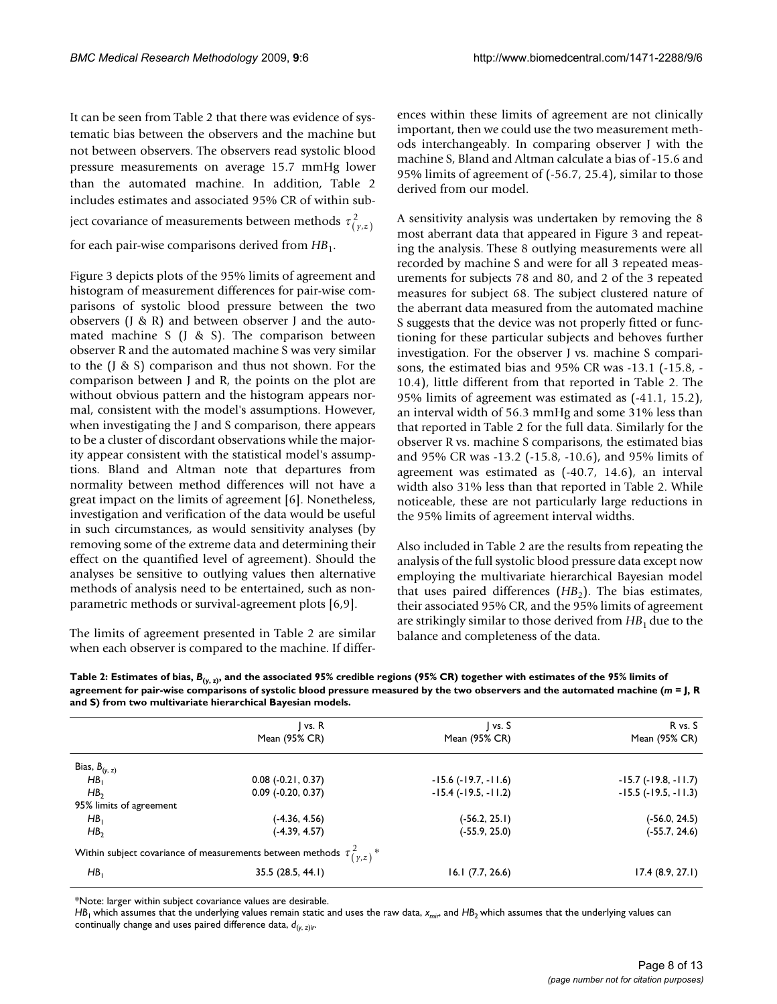It can be seen from Table 2 that there was evidence of systematic bias between the observers and the machine but not between observers. The observers read systolic blood pressure measurements on average 15.7 mmHg lower than the automated machine. In addition, Table 2 includes estimates and associated 95% CR of within subject covariance of measurements between methods  $\tau^2_{(\gamma,z)}$ for each pair-wise comparisons derived from *HB*1.

Figure 3 depicts plots of the 95% limits of agreement and histogram of measurement differences for pair-wise comparisons of systolic blood pressure between the two observers (J & R) and between observer J and the automated machine S (J & S). The comparison between observer R and the automated machine S was very similar to the (J & S) comparison and thus not shown. For the comparison between J and R, the points on the plot are without obvious pattern and the histogram appears normal, consistent with the model's assumptions. However, when investigating the J and S comparison, there appears to be a cluster of discordant observations while the majority appear consistent with the statistical model's assumptions. Bland and Altman note that departures from normality between method differences will not have a great impact on the limits of agreement [6]. Nonetheless, investigation and verification of the data would be useful in such circumstances, as would sensitivity analyses (by removing some of the extreme data and determining their effect on the quantified level of agreement). Should the analyses be sensitive to outlying values then alternative methods of analysis need to be entertained, such as nonparametric methods or survival-agreement plots [6,9].

The limits of agreement presented in Table 2 are similar when each observer is compared to the machine. If differences within these limits of agreement are not clinically important, then we could use the two measurement methods interchangeably. In comparing observer J with the machine S, Bland and Altman calculate a bias of -15.6 and 95% limits of agreement of (-56.7, 25.4), similar to those derived from our model.

A sensitivity analysis was undertaken by removing the 8 most aberrant data that appeared in Figure 3 and repeating the analysis. These 8 outlying measurements were all recorded by machine S and were for all 3 repeated measurements for subjects 78 and 80, and 2 of the 3 repeated measures for subject 68. The subject clustered nature of the aberrant data measured from the automated machine S suggests that the device was not properly fitted or functioning for these particular subjects and behoves further investigation. For the observer J vs. machine S comparisons, the estimated bias and 95% CR was -13.1 (-15.8, - 10.4), little different from that reported in Table 2. The 95% limits of agreement was estimated as (-41.1, 15.2), an interval width of 56.3 mmHg and some 31% less than that reported in Table 2 for the full data. Similarly for the observer R vs. machine S comparisons, the estimated bias and 95% CR was -13.2 (-15.8, -10.6), and 95% limits of agreement was estimated as (-40.7, 14.6), an interval width also 31% less than that reported in Table 2. While noticeable, these are not particularly large reductions in the 95% limits of agreement interval widths.

Also included in Table 2 are the results from repeating the analysis of the full systolic blood pressure data except now employing the multivariate hierarchical Bayesian model that uses paired differences  $(HB<sub>2</sub>)$ . The bias estimates, their associated 95% CR, and the 95% limits of agreement are strikingly similar to those derived from *HB*1 due to the balance and completeness of the data.

**Table 2: Estimates of bias,** *B***(***y***,** *z***), and the associated 95% credible regions (95% CR) together with estimates of the 95% limits of agreement for pair-wise comparisons of systolic blood pressure measured by the two observers and the automated machine (***m* **= J, R and S) from two multivariate hierarchical Bayesian models.**

|                              | vs. R                                                                             | J vs. S                       | R vs. S                       |
|------------------------------|-----------------------------------------------------------------------------------|-------------------------------|-------------------------------|
|                              | Mean (95% CR)                                                                     | Mean (95% CR)                 | Mean (95% CR)                 |
|                              |                                                                                   |                               |                               |
| Bias, $B_{(y, z)}$<br>$HB_1$ | $0.08$ ( $-0.21$ , $0.37$ )                                                       | $-15.6$ ( $-19.7$ , $-11.6$ ) | $-15.7$ ( $-19.8$ , $-11.7$ ) |
| HB <sub>2</sub>              | $0.09$ (-0.20, 0.37)                                                              | $-15.4$ ( $-19.5$ , $-11.2$ ) | $-15.5$ ( $-19.5$ , $-11.3$ ) |
| 95% limits of agreement      |                                                                                   |                               |                               |
| $HB_1$                       | $(-4.36, 4.56)$                                                                   | (-56.2, 25.1)                 | $(-56.0, 24.5)$               |
| HB <sub>2</sub>              | $(-4.39, 4.57)$                                                                   | $(-55.9, 25.0)$               | $(-55.7, 24.6)$               |
|                              | Within subject covariance of measurements between methods $\tau^2_{(\gamma,z)}$ * |                               |                               |
| HB <sub>1</sub>              | 35.5(28.5, 44.1)                                                                  | $16.1$ (7.7, 26.6)            | 17.4(8.9, 27.1)               |

\*Note: larger within subject covariance values are desirable.

 $HB_1$  which assumes that the underlying values remain static and uses the raw data,  $x_{min}$ , and  $HB_2$  which assumes that the underlying values can continually change and uses paired difference data, *d*(*y*, *z*)*ir*.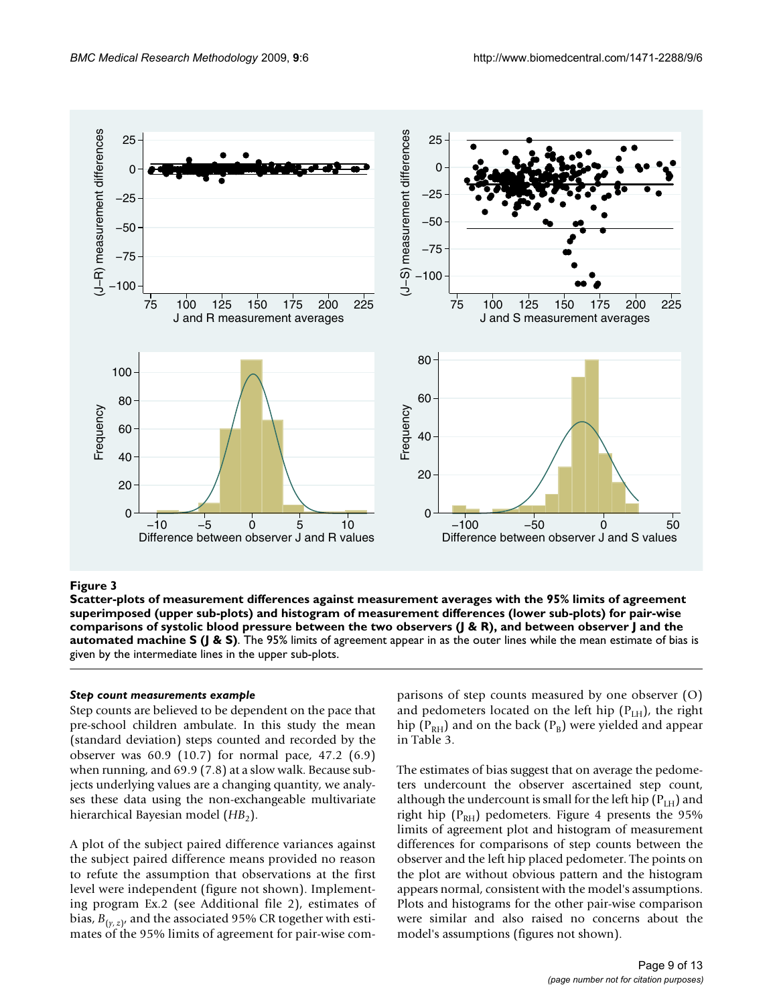

# **Figure 3** Production of the contract of the contract of the contract of the contract of the contract of the contract of the contract of the contract of the contract of the contract of the contract of the contract of the c

**Scatter-plots of measurement differences against measurement averages with the 95% limits of agreement superimposed (upper sub-plots) and histogram of measurement differences (lower sub-plots) for pair-wise comparisons of systolic blood pressure between the two observers (J & R), and between observer J and the automated machine S (J & S)**. The 95% limits of agreement appear in as the outer lines while the mean estimate of bias is given by the intermediate lines in the upper sub-plots.

#### *Step count measurements example*

Step counts are believed to be dependent on the pace that pre-school children ambulate. In this study the mean (standard deviation) steps counted and recorded by the observer was 60.9 (10.7) for normal pace, 47.2 (6.9) when running, and 69.9 (7.8) at a slow walk. Because subjects underlying values are a changing quantity, we analyses these data using the non-exchangeable multivariate hierarchical Bayesian model (*HB*<sub>2</sub>).

A plot of the subject paired difference variances against the subject paired difference means provided no reason to refute the assumption that observations at the first level were independent (figure not shown). Implementing program Ex.2 (see Additional file 2), estimates of bias,  $B_{(y,z)}$ , and the associated 95% CR together with estimates of the 95% limits of agreement for pair-wise comparisons of step counts measured by one observer (O) and pedometers located on the left hip  $(P<sub>lH</sub>)$ , the right hip ( $P_{RH}$ ) and on the back ( $P_B$ ) were yielded and appear in Table 3.

The estimates of bias suggest that on average the pedometers undercount the observer ascertained step count, although the undercount is small for the left hip  $(P<sub>LH</sub>)$  and right hip  $(P_{RH})$  pedometers. Figure 4 presents the 95% limits of agreement plot and histogram of measurement differences for comparisons of step counts between the observer and the left hip placed pedometer. The points on the plot are without obvious pattern and the histogram appears normal, consistent with the model's assumptions. Plots and histograms for the other pair-wise comparison were similar and also raised no concerns about the model's assumptions (figures not shown).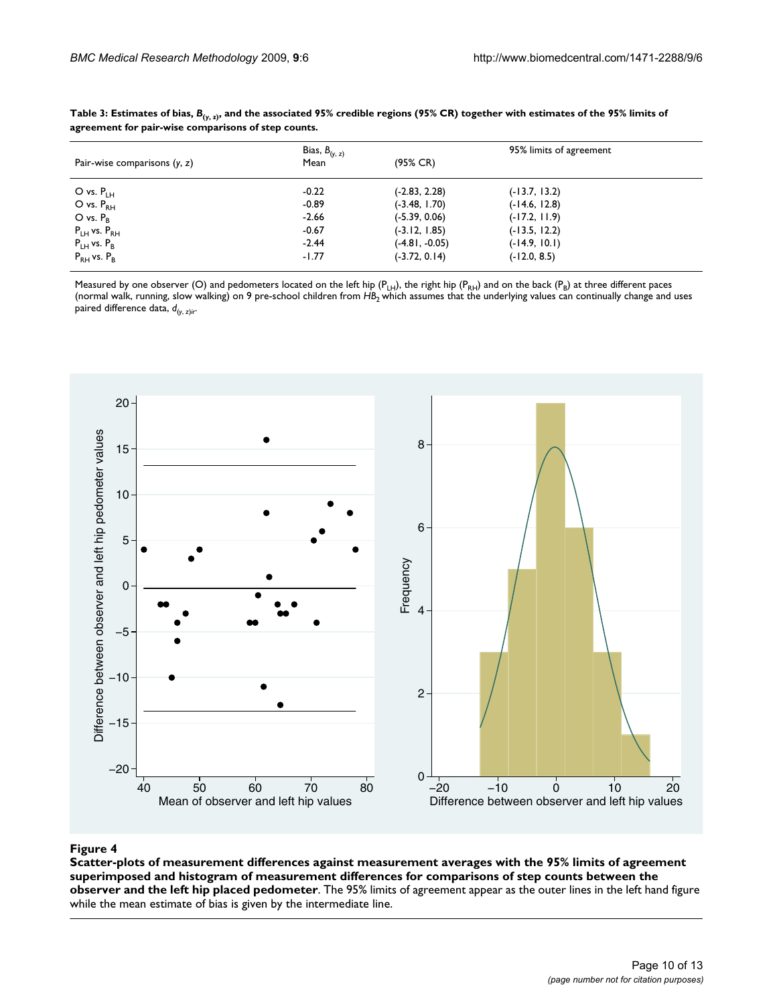| Bias, $B_{(y, z)}$                  |         |                  | 95% limits of agreement |  |
|-------------------------------------|---------|------------------|-------------------------|--|
| Pair-wise comparisons $(y, z)$      | Mean    | (95% CR)         |                         |  |
| O vs. $P_{\text{H}}$                | $-0.22$ | $(-2.83, 2.28)$  | $(-13.7, 13.2)$         |  |
| O vs. $P_{RH}$                      | $-0.89$ | $(-3.48, 1.70)$  | $(-14.6, 12.8)$         |  |
| $O$ vs. $P_R$                       | $-2.66$ | $(-5.39, 0.06)$  | $(-17.2, 11.9)$         |  |
| $P_{\text{LH}}$ vs. $P_{\text{RH}}$ | $-0.67$ | $(-3.12, 1.85)$  | $(-13.5, 12.2)$         |  |
| $P_{\text{LH}}$ vs. $P_{\text{R}}$  | $-2.44$ | $(-4.81, -0.05)$ | $(-14.9, 10.1)$         |  |
| $P_{RH}$ vs. $P_B$                  | $-1.77$ | $(-3.72, 0.14)$  | $(-12.0, 8.5)$          |  |

**Table 3: Estimates of bias,** *B***(***y***,** *z***), and the associated 95% credible regions (95% CR) together with estimates of the 95% limits of agreement for pair-wise comparisons of step counts.**

Measured by one observer (O) and pedometers located on the left hip  $(P_{LH})$ , the right hip  $(P_{RH})$  and on the back  $(P_B)$  at three different paces (normal walk, running, slow walking) on 9 pre-school children from *HB*2 which assumes that the underlying values can continually change and uses paired difference data, *d*(*y*, *z*)*ir*.



# **Figure 4** Production of the contract of the contract of the contract of the contract of the contract of the contract of the contract of the contract of the contract of the contract of the contract of the contract of the c

**Scatter-plots of measurement differences against measurement averages with the 95% limits of agreement superimposed and histogram of measurement differences for comparisons of step counts between the observer and the left hip placed pedometer**. The 95% limits of agreement appear as the outer lines in the left hand figure while the mean estimate of bias is given by the intermediate line.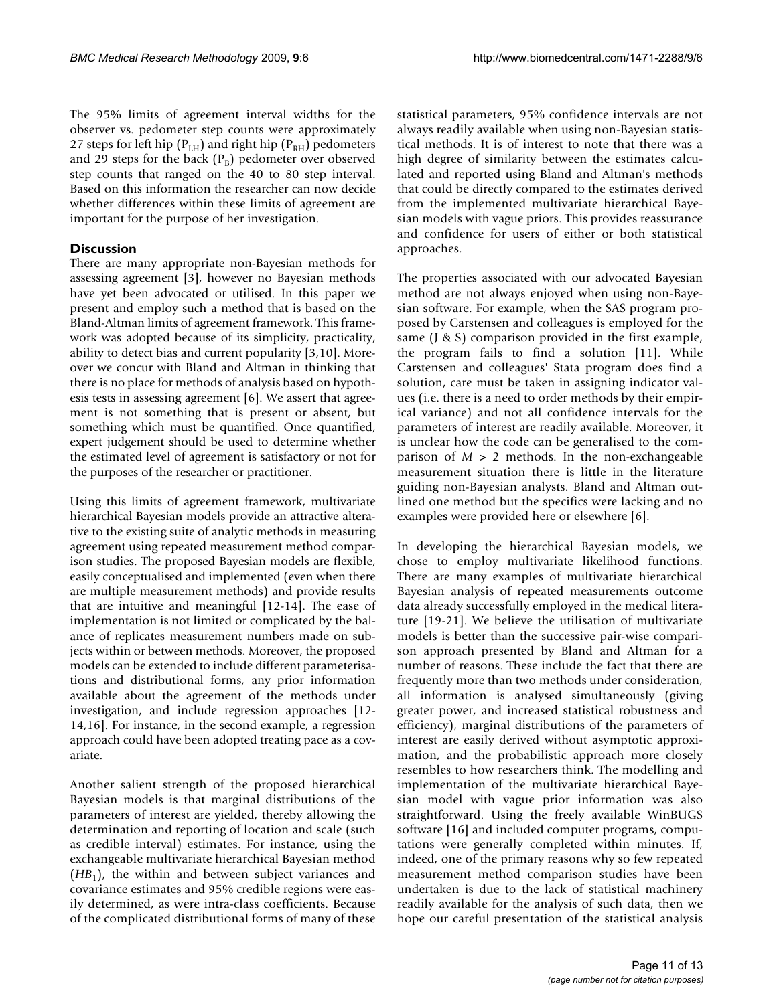The 95% limits of agreement interval widths for the observer vs. pedometer step counts were approximately 27 steps for left hip  $(P<sub>LH</sub>)$  and right hip  $(P<sub>RH</sub>)$  pedometers and 29 steps for the back  $(P_B)$  pedometer over observed step counts that ranged on the 40 to 80 step interval. Based on this information the researcher can now decide whether differences within these limits of agreement are important for the purpose of her investigation.

# **Discussion**

There are many appropriate non-Bayesian methods for assessing agreement [3], however no Bayesian methods have yet been advocated or utilised. In this paper we present and employ such a method that is based on the Bland-Altman limits of agreement framework. This framework was adopted because of its simplicity, practicality, ability to detect bias and current popularity [3,10]. Moreover we concur with Bland and Altman in thinking that there is no place for methods of analysis based on hypothesis tests in assessing agreement [6]. We assert that agreement is not something that is present or absent, but something which must be quantified. Once quantified, expert judgement should be used to determine whether the estimated level of agreement is satisfactory or not for the purposes of the researcher or practitioner.

Using this limits of agreement framework, multivariate hierarchical Bayesian models provide an attractive alterative to the existing suite of analytic methods in measuring agreement using repeated measurement method comparison studies. The proposed Bayesian models are flexible, easily conceptualised and implemented (even when there are multiple measurement methods) and provide results that are intuitive and meaningful [12-14]. The ease of implementation is not limited or complicated by the balance of replicates measurement numbers made on subjects within or between methods. Moreover, the proposed models can be extended to include different parameterisations and distributional forms, any prior information available about the agreement of the methods under investigation, and include regression approaches [12- 14,16]. For instance, in the second example, a regression approach could have been adopted treating pace as a covariate.

Another salient strength of the proposed hierarchical Bayesian models is that marginal distributions of the parameters of interest are yielded, thereby allowing the determination and reporting of location and scale (such as credible interval) estimates. For instance, using the exchangeable multivariate hierarchical Bayesian method  $(HB<sub>1</sub>)$ , the within and between subject variances and covariance estimates and 95% credible regions were easily determined, as were intra-class coefficients. Because of the complicated distributional forms of many of these statistical parameters, 95% confidence intervals are not always readily available when using non-Bayesian statistical methods. It is of interest to note that there was a high degree of similarity between the estimates calculated and reported using Bland and Altman's methods that could be directly compared to the estimates derived from the implemented multivariate hierarchical Bayesian models with vague priors. This provides reassurance and confidence for users of either or both statistical approaches.

The properties associated with our advocated Bayesian method are not always enjoyed when using non-Bayesian software. For example, when the SAS program proposed by Carstensen and colleagues is employed for the same (J & S) comparison provided in the first example, the program fails to find a solution [11]. While Carstensen and colleagues' Stata program does find a solution, care must be taken in assigning indicator values (i.e. there is a need to order methods by their empirical variance) and not all confidence intervals for the parameters of interest are readily available. Moreover, it is unclear how the code can be generalised to the comparison of  $M > 2$  methods. In the non-exchangeable measurement situation there is little in the literature guiding non-Bayesian analysts. Bland and Altman outlined one method but the specifics were lacking and no examples were provided here or elsewhere [6].

In developing the hierarchical Bayesian models, we chose to employ multivariate likelihood functions. There are many examples of multivariate hierarchical Bayesian analysis of repeated measurements outcome data already successfully employed in the medical literature [19-21]. We believe the utilisation of multivariate models is better than the successive pair-wise comparison approach presented by Bland and Altman for a number of reasons. These include the fact that there are frequently more than two methods under consideration, all information is analysed simultaneously (giving greater power, and increased statistical robustness and efficiency), marginal distributions of the parameters of interest are easily derived without asymptotic approximation, and the probabilistic approach more closely resembles to how researchers think. The modelling and implementation of the multivariate hierarchical Bayesian model with vague prior information was also straightforward. Using the freely available WinBUGS software [16] and included computer programs, computations were generally completed within minutes. If, indeed, one of the primary reasons why so few repeated measurement method comparison studies have been undertaken is due to the lack of statistical machinery readily available for the analysis of such data, then we hope our careful presentation of the statistical analysis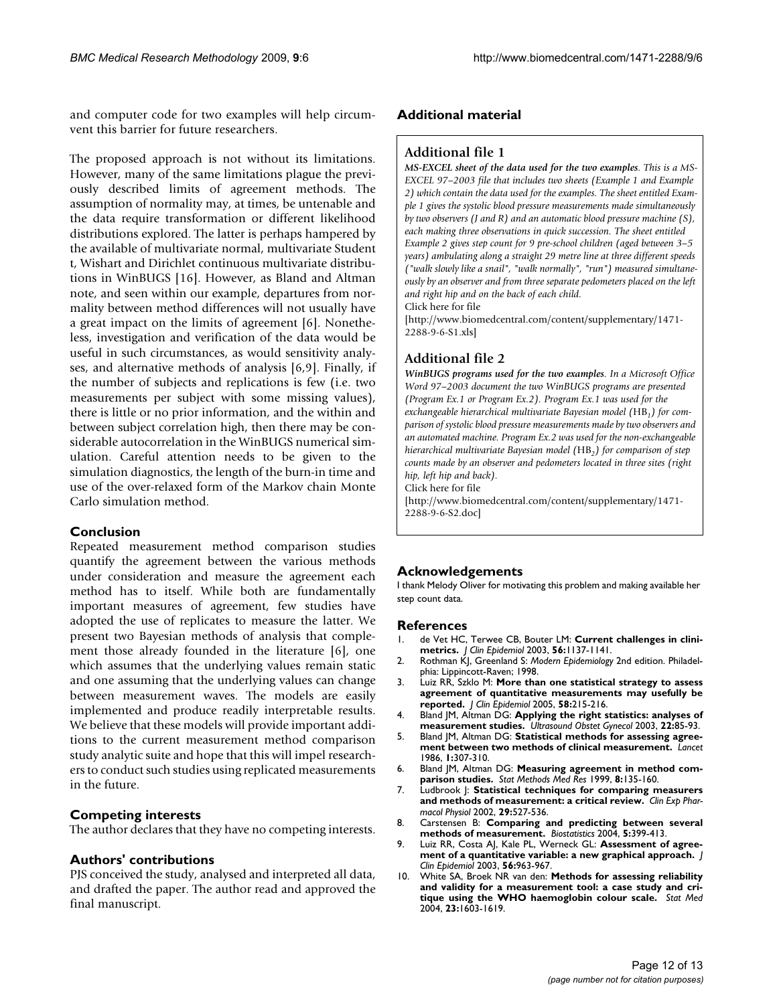and computer code for two examples will help circumvent this barrier for future researchers.

The proposed approach is not without its limitations. However, many of the same limitations plague the previously described limits of agreement methods. The assumption of normality may, at times, be untenable and the data require transformation or different likelihood distributions explored. The latter is perhaps hampered by the available of multivariate normal, multivariate Student t, Wishart and Dirichlet continuous multivariate distributions in WinBUGS [16]. However, as Bland and Altman note, and seen within our example, departures from normality between method differences will not usually have a great impact on the limits of agreement [6]. Nonetheless, investigation and verification of the data would be useful in such circumstances, as would sensitivity analyses, and alternative methods of analysis [6,9]. Finally, if the number of subjects and replications is few (i.e. two measurements per subject with some missing values), there is little or no prior information, and the within and between subject correlation high, then there may be considerable autocorrelation in the WinBUGS numerical simulation. Careful attention needs to be given to the simulation diagnostics, the length of the burn-in time and use of the over-relaxed form of the Markov chain Monte Carlo simulation method.

# **Conclusion**

Repeated measurement method comparison studies quantify the agreement between the various methods under consideration and measure the agreement each method has to itself. While both are fundamentally important measures of agreement, few studies have adopted the use of replicates to measure the latter. We present two Bayesian methods of analysis that complement those already founded in the literature [6], one which assumes that the underlying values remain static and one assuming that the underlying values can change between measurement waves. The models are easily implemented and produce readily interpretable results. We believe that these models will provide important additions to the current measurement method comparison study analytic suite and hope that this will impel researchers to conduct such studies using replicated measurements in the future.

### **Competing interests**

The author declares that they have no competing interests.

### **Authors' contributions**

PJS conceived the study, analysed and interpreted all data, and drafted the paper. The author read and approved the final manuscript.

## **Additional material**

# **Additional file 1**

*MS-EXCEL sheet of the data used for the two examples. This is a MS-EXCEL 97–2003 file that includes two sheets (Example 1 and Example 2) which contain the data used for the examples. The sheet entitled Example 1 gives the systolic blood pressure measurements made simultaneously by two observers (J and R) and an automatic blood pressure machine (S), each making three observations in quick succession. The sheet entitled Example 2 gives step count for 9 pre-school children (aged between 3–5 years) ambulating along a straight 29 metre line at three different speeds ("walk slowly like a snail", "walk normally", "run") measured simultaneously by an observer and from three separate pedometers placed on the left and right hip and on the back of each child.* Click here for file

[\[http://www.biomedcentral.com/content/supplementary/1471-](http://www.biomedcentral.com/content/supplementary/1471-2288-9-6-S1.xls) 2288-9-6-S1.xls]

# **Additional file 2**

*WinBUGS programs used for the two examples. In a Microsoft Office Word 97–2003 document the two WinBUGS programs are presented (Program Ex.1 or Program Ex.2). Program Ex.1 was used for the exchangeable hierarchical multivariate Bayesian model (*HB*1) for comparison of systolic blood pressure measurements made by two observers and an automated machine. Program Ex.2 was used for the non-exchangeable hierarchical multivariate Bayesian model (*HB*2) for comparison of step counts made by an observer and pedometers located in three sites (right hip, left hip and back).*

Click here for file

[\[http://www.biomedcentral.com/content/supplementary/1471-](http://www.biomedcentral.com/content/supplementary/1471-2288-9-6-S2.doc) 2288-9-6-S2.doc]

# **Acknowledgements**

I thank Melody Oliver for motivating this problem and making available her step count data.

### **References**

- de Vet HC, Terwee CB, Bouter LM: [Current challenges in clini](http://www.ncbi.nlm.nih.gov/entrez/query.fcgi?cmd=Retrieve&db=PubMed&dopt=Abstract&list_uids=14680660)**[metrics.](http://www.ncbi.nlm.nih.gov/entrez/query.fcgi?cmd=Retrieve&db=PubMed&dopt=Abstract&list_uids=14680660)** *J Clin Epidemiol* 2003, **56:**1137-1141.
- 2. Rothman KJ, Greenland S: *Modern Epidemiology* 2nd edition. Philadelphia: Lippincott-Raven; 1998.
- 3. Luiz RR, Szklo M: **[More than one statistical strategy to assess](http://www.ncbi.nlm.nih.gov/entrez/query.fcgi?cmd=Retrieve&db=PubMed&dopt=Abstract&list_uids=15718108) [agreement of quantitative measurements may usefully be](http://www.ncbi.nlm.nih.gov/entrez/query.fcgi?cmd=Retrieve&db=PubMed&dopt=Abstract&list_uids=15718108) [reported.](http://www.ncbi.nlm.nih.gov/entrez/query.fcgi?cmd=Retrieve&db=PubMed&dopt=Abstract&list_uids=15718108)** *J Clin Epidemiol* 2005, **58:**215-216.
- 4. Bland JM, Altman DG: **[Applying the right statistics: analyses of](http://www.ncbi.nlm.nih.gov/entrez/query.fcgi?cmd=Retrieve&db=PubMed&dopt=Abstract&list_uids=12858311) [measurement studies.](http://www.ncbi.nlm.nih.gov/entrez/query.fcgi?cmd=Retrieve&db=PubMed&dopt=Abstract&list_uids=12858311)** *Ultrasound Obstet Gynecol* 2003, **22:**85-93.
- 5. Bland JM, Altman DG: **[Statistical methods for assessing agree](http://www.ncbi.nlm.nih.gov/entrez/query.fcgi?cmd=Retrieve&db=PubMed&dopt=Abstract&list_uids=2868172)[ment between two methods of clinical measurement.](http://www.ncbi.nlm.nih.gov/entrez/query.fcgi?cmd=Retrieve&db=PubMed&dopt=Abstract&list_uids=2868172)** *Lancet* 1986, **1:**307-310.
- 6. Bland JM, Altman DG: **[Measuring agreement in method com](http://www.ncbi.nlm.nih.gov/entrez/query.fcgi?cmd=Retrieve&db=PubMed&dopt=Abstract&list_uids=10501650)[parison studies.](http://www.ncbi.nlm.nih.gov/entrez/query.fcgi?cmd=Retrieve&db=PubMed&dopt=Abstract&list_uids=10501650)** *Stat Methods Med Res* 1999, **8:**135-160.
- 7. Ludbrook J: **[Statistical techniques for comparing measurers](http://www.ncbi.nlm.nih.gov/entrez/query.fcgi?cmd=Retrieve&db=PubMed&dopt=Abstract&list_uids=12060093) [and methods of measurement: a critical review.](http://www.ncbi.nlm.nih.gov/entrez/query.fcgi?cmd=Retrieve&db=PubMed&dopt=Abstract&list_uids=12060093)** *Clin Exp Pharmacol Physiol* 2002, **29:**527-536.
- 8. Carstensen B: **[Comparing and predicting between several](http://www.ncbi.nlm.nih.gov/entrez/query.fcgi?cmd=Retrieve&db=PubMed&dopt=Abstract&list_uids=15208202) [methods of measurement.](http://www.ncbi.nlm.nih.gov/entrez/query.fcgi?cmd=Retrieve&db=PubMed&dopt=Abstract&list_uids=15208202)** *Biostatistics* 2004, **5:**399-413.
- 9. Luiz RR, Costa AJ, Kale PL, Werneck GL: **[Assessment of agree](http://www.ncbi.nlm.nih.gov/entrez/query.fcgi?cmd=Retrieve&db=PubMed&dopt=Abstract&list_uids=14568627)[ment of a quantitative variable: a new graphical approach.](http://www.ncbi.nlm.nih.gov/entrez/query.fcgi?cmd=Retrieve&db=PubMed&dopt=Abstract&list_uids=14568627)** *J Clin Epidemiol* 2003, **56:**963-967.
- 10. White SA, Broek NR van den: **[Methods for assessing reliability](http://www.ncbi.nlm.nih.gov/entrez/query.fcgi?cmd=Retrieve&db=PubMed&dopt=Abstract&list_uids=15122740) [and validity for a measurement tool: a case study and cri](http://www.ncbi.nlm.nih.gov/entrez/query.fcgi?cmd=Retrieve&db=PubMed&dopt=Abstract&list_uids=15122740)[tique using the WHO haemoglobin colour scale.](http://www.ncbi.nlm.nih.gov/entrez/query.fcgi?cmd=Retrieve&db=PubMed&dopt=Abstract&list_uids=15122740)** *Stat Med* 2004, **23:**1603-1619.